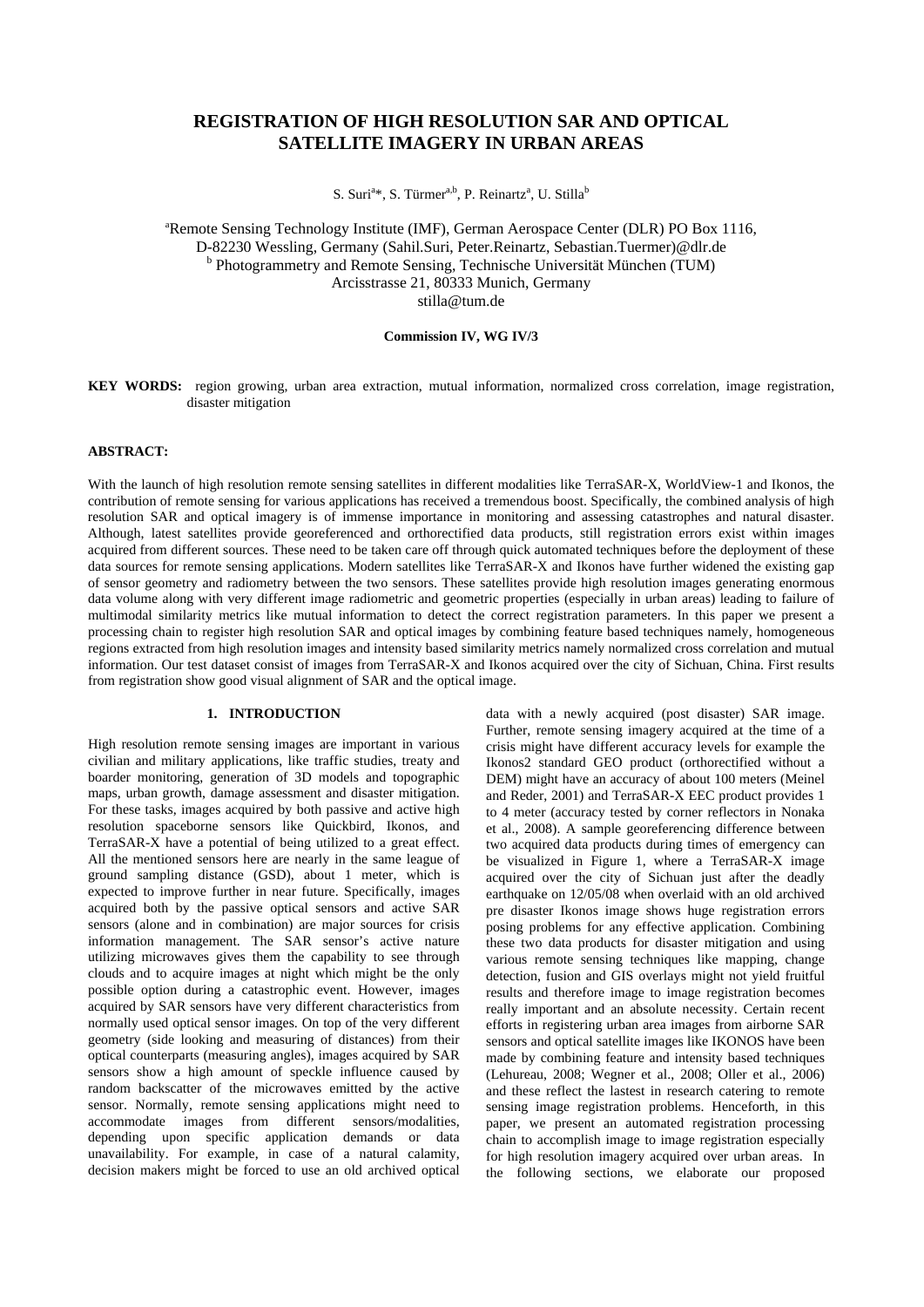# **REGISTRATION OF HIGH RESOLUTION SAR AND OPTICAL SATELLITE IMAGERY IN URBAN AREAS**

S. Suri<sup>a</sup>\*, S. Türmer<sup>a,b</sup>, P. Reinartz<sup>a</sup>, U. Stilla<sup>b</sup>

a Remote Sensing Technology Institute (IMF), German Aerospace Center (DLR) PO Box 1116, D-82230 Wessling, Germany (Sahil.Suri, Peter.Reinartz, Sebastian.Tuermer)@dlr.de <sup>b</sup> Photogrammetry and Remote Sensing, Technische Universität München (TUM) Arcisstrasse 21, 80333 Munich, Germany stilla@tum.de

# **Commission IV, WG IV/3**

**KEY WORDS:** region growing, urban area extraction, mutual information, normalized cross correlation, image registration, disaster mitigation

# **ABSTRACT:**

With the launch of high resolution remote sensing satellites in different modalities like TerraSAR-X, WorldView-1 and Ikonos, the contribution of remote sensing for various applications has received a tremendous boost. Specifically, the combined analysis of high resolution SAR and optical imagery is of immense importance in monitoring and assessing catastrophes and natural disaster. Although, latest satellites provide georeferenced and orthorectified data products, still registration errors exist within images acquired from different sources. These need to be taken care off through quick automated techniques before the deployment of these data sources for remote sensing applications. Modern satellites like TerraSAR-X and Ikonos have further widened the existing gap of sensor geometry and radiometry between the two sensors. These satellites provide high resolution images generating enormous data volume along with very different image radiometric and geometric properties (especially in urban areas) leading to failure of multimodal similarity metrics like mutual information to detect the correct registration parameters. In this paper we present a processing chain to register high resolution SAR and optical images by combining feature based techniques namely, homogeneous regions extracted from high resolution images and intensity based similarity metrics namely normalized cross correlation and mutual information. Our test dataset consist of images from TerraSAR-X and Ikonos acquired over the city of Sichuan, China. First results from registration show good visual alignment of SAR and the optical image.

#### **1. INTRODUCTION**

High resolution remote sensing images are important in various civilian and military applications, like traffic studies, treaty and boarder monitoring, generation of 3D models and topographic maps, urban growth, damage assessment and disaster mitigation. For these tasks, images acquired by both passive and active high resolution spaceborne sensors like Quickbird, Ikonos, and TerraSAR-X have a potential of being utilized to a great effect. All the mentioned sensors here are nearly in the same league of ground sampling distance (GSD), about 1 meter, which is expected to improve further in near future. Specifically, images acquired both by the passive optical sensors and active SAR sensors (alone and in combination) are major sources for crisis information management. The SAR sensor's active nature utilizing microwaves gives them the capability to see through clouds and to acquire images at night which might be the only possible option during a catastrophic event. However, images acquired by SAR sensors have very different characteristics from normally used optical sensor images. On top of the very different geometry (side looking and measuring of distances) from their optical counterparts (measuring angles), images acquired by SAR sensors show a high amount of speckle influence caused by random backscatter of the microwaves emitted by the active sensor. Normally, remote sensing applications might need to accommodate images from different sensors/modalities, depending upon specific application demands or data unavailability. For example, in case of a natural calamity, decision makers might be forced to use an old archived optical

data with a newly acquired (post disaster) SAR image. Further, remote sensing imagery acquired at the time of a crisis might have different accuracy levels for example the Ikonos2 standard GEO product (orthorectified without a DEM) might have an accuracy of about 100 meters (Meinel and Reder, 2001) and TerraSAR-X EEC product provides 1 to 4 meter (accuracy tested by corner reflectors in Nonaka et al., 2008). A sample georeferencing difference between two acquired data products during times of emergency can be visualized in Figure 1, where a TerraSAR-X image acquired over the city of Sichuan just after the deadly earthquake on 12/05/08 when overlaid with an old archived pre disaster Ikonos image shows huge registration errors posing problems for any effective application. Combining these two data products for disaster mitigation and using various remote sensing techniques like mapping, change detection, fusion and GIS overlays might not yield fruitful results and therefore image to image registration becomes really important and an absolute necessity. Certain recent efforts in registering urban area images from airborne SAR sensors and optical satellite images like IKONOS have been made by combining feature and intensity based techniques (Lehureau, 2008; Wegner et al., 2008; Oller et al., 2006) and these reflect the lastest in research catering to remote sensing image registration problems. Henceforth, in this paper, we present an automated registration processing chain to accomplish image to image registration especially for high resolution imagery acquired over urban areas. In the following sections, we elaborate our proposed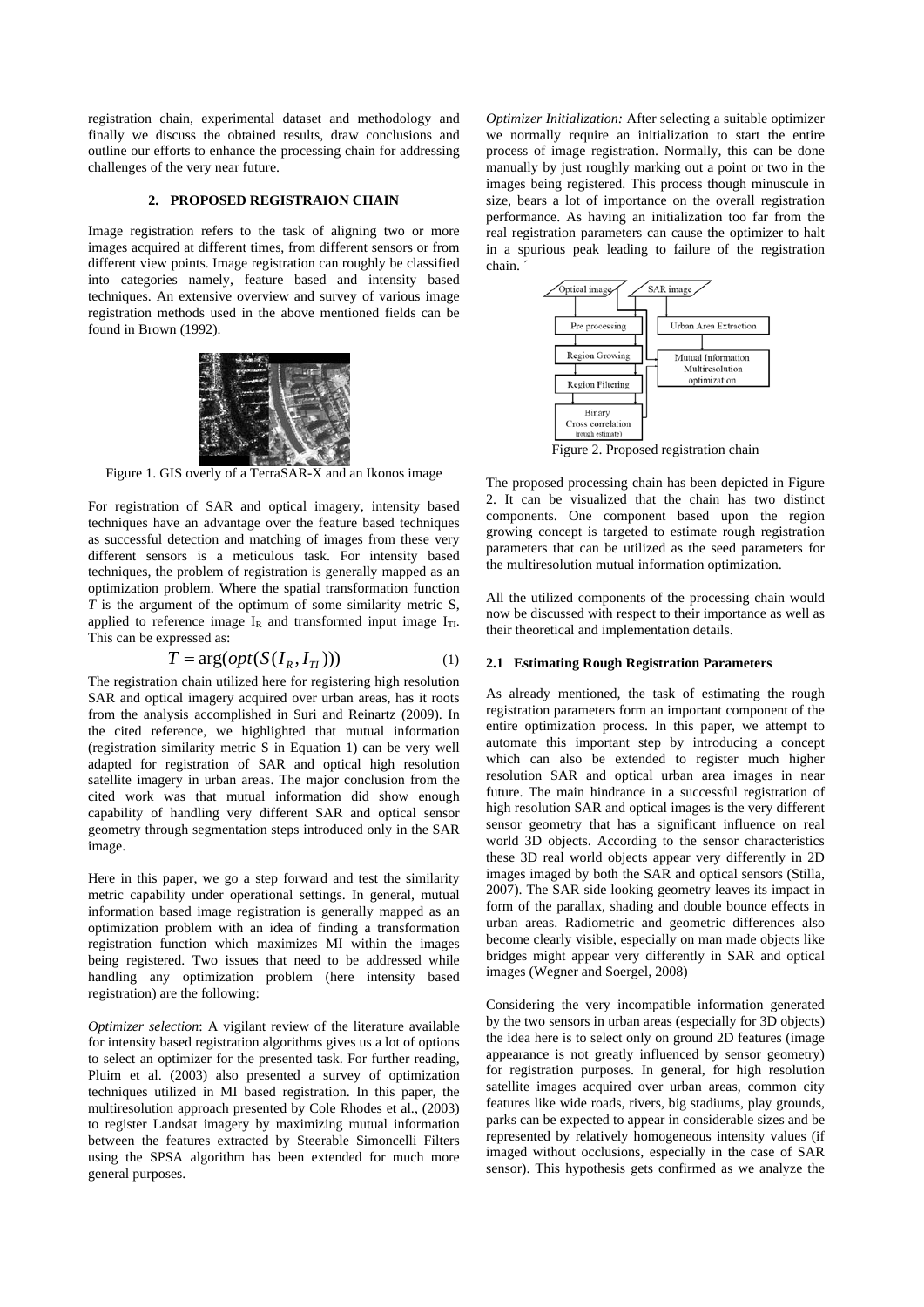registration chain, experimental dataset and methodology and finally we discuss the obtained results, draw conclusions and outline our efforts to enhance the processing chain for addressing challenges of the very near future.

## **2. PROPOSED REGISTRAION CHAIN**

Image registration refers to the task of aligning two or more images acquired at different times, from different sensors or from different view points. Image registration can roughly be classified into categories namely, feature based and intensity based techniques. An extensive overview and survey of various image registration methods used in the above mentioned fields can be found in Brown (1992).



Figure 1. GIS overly of a TerraSAR-X and an Ikonos image

For registration of SAR and optical imagery, intensity based techniques have an advantage over the feature based techniques as successful detection and matching of images from these very different sensors is a meticulous task. For intensity based techniques, the problem of registration is generally mapped as an optimization problem. Where the spatial transformation function *T* is the argument of the optimum of some similarity metric S, applied to reference image  $I_R$  and transformed input image  $I_{TL}$ . This can be expressed as:

$$
T = \arg(\operatorname{opt}(S(I_R, I_{T_I})))\tag{1}
$$

The registration chain utilized here for registering high resolution SAR and optical imagery acquired over urban areas, has it roots from the analysis accomplished in Suri and Reinartz (2009). In the cited reference, we highlighted that mutual information (registration similarity metric S in Equation 1) can be very well adapted for registration of SAR and optical high resolution satellite imagery in urban areas. The major conclusion from the cited work was that mutual information did show enough capability of handling very different SAR and optical sensor geometry through segmentation steps introduced only in the SAR image.

Here in this paper, we go a step forward and test the similarity metric capability under operational settings. In general, mutual information based image registration is generally mapped as an optimization problem with an idea of finding a transformation registration function which maximizes MI within the images being registered. Two issues that need to be addressed while handling any optimization problem (here intensity based registration) are the following:<br>
Considering the very incompatible information generated

*Optimizer selection*: A vigilant review of the literature available for intensity based registration algorithms gives us a lot of options to select an optimizer for the presented task. For further reading, Pluim et al. (2003) also presented a survey of optimization techniques utilized in MI based registration. In this paper, the multiresolution approach presented by Cole Rhodes et al., (2003) to register Landsat imagery by maximizing mutual information between the features extracted by Steerable Simoncelli Filters using the SPSA algorithm has been extended for much more general purposes.

*Optimizer Initialization:* After selecting a suitable optimizer we normally require an initialization to start the entire process of image registration. Normally, this can be done manually by just roughly marking out a point or two in the images being registered. This process though minuscule in size, bears a lot of importance on the overall registration performance. As having an initialization too far from the real registration parameters can cause the optimizer to halt in a spurious peak leading to failure of the registration chain. ´



Figure 2. Proposed registration chain

The proposed processing chain has been depicted in Figure 2. It can be visualized that the chain has two distinct components. One component based upon the region growing concept is targeted to estimate rough registration parameters that can be utilized as the seed parameters for the multiresolution mutual information optimization.

All the utilized components of the processing chain would now be discussed with respect to their importance as well as their theoretical and implementation details.

### **2.1 Estimating Rough Registration Parameters**

As already mentioned, the task of estimating the rough registration parameters form an important component of the entire optimization process. In this paper, we attempt to automate this important step by introducing a concept which can also be extended to register much higher resolution SAR and optical urban area images in near future. The main hindrance in a successful registration of high resolution SAR and optical images is the very different sensor geometry that has a significant influence on real world 3D objects. According to the sensor characteristics these 3D real world objects appear very differently in 2D images imaged by both the SAR and optical sensors (Stilla, 2007). The SAR side looking geometry leaves its impact in form of the parallax, shading and double bounce effects in urban areas. Radiometric and geometric differences also become clearly visible, especially on man made objects like bridges might appear very differently in SAR and optical images (Wegner and Soergel, 2008)

by the two sensors in urban areas (especially for 3D objects) the idea here is to select only on ground 2D features (image appearance is not greatly influenced by sensor geometry) for registration purposes. In general, for high resolution satellite images acquired over urban areas, common city features like wide roads, rivers, big stadiums, play grounds, parks can be expected to appear in considerable sizes and be represented by relatively homogeneous intensity values (if imaged without occlusions, especially in the case of SAR sensor). This hypothesis gets confirmed as we analyze the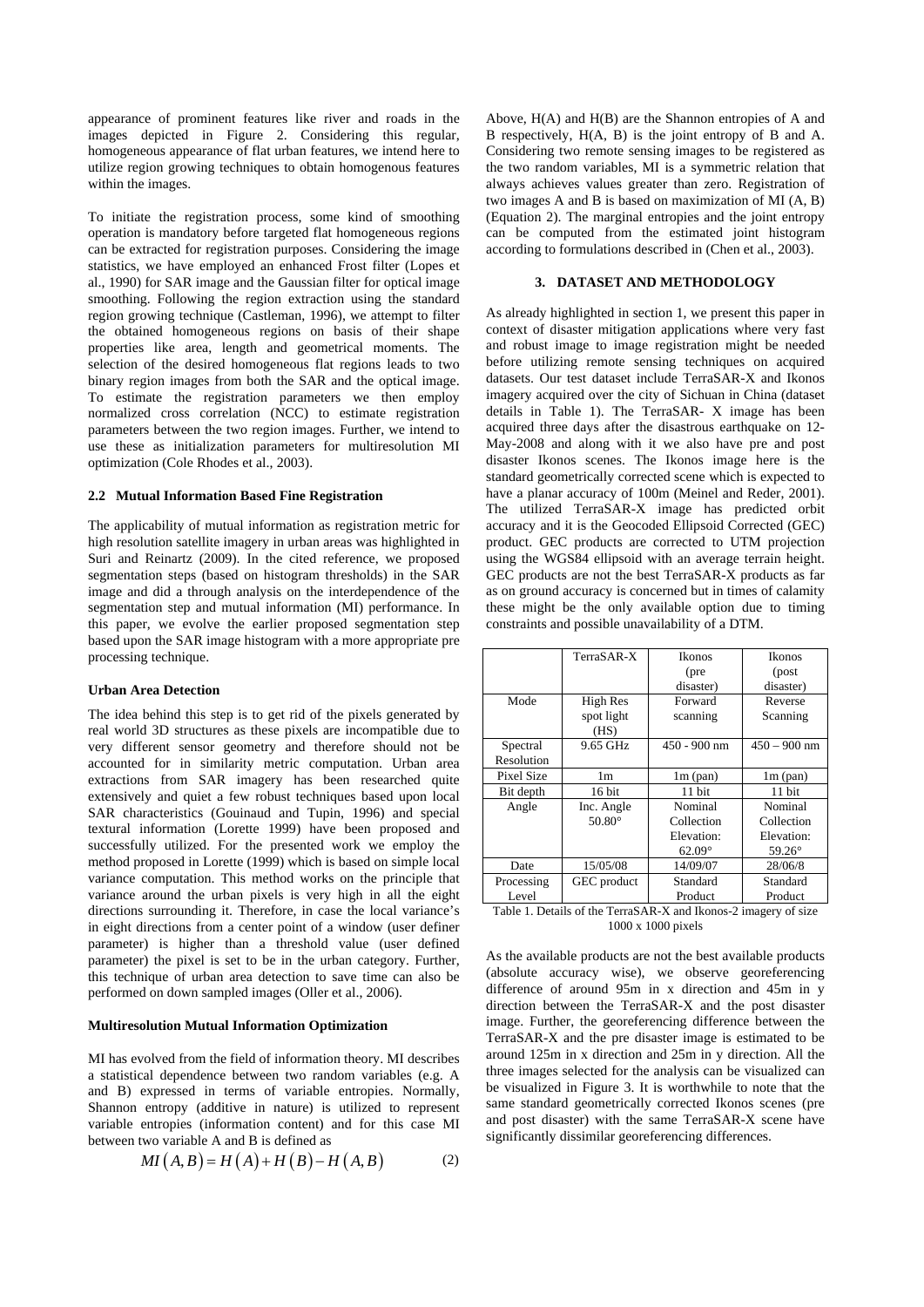appearance of prominent features like river and roads in the images depicted in Figure 2. Considering this regular, homogeneous appearance of flat urban features, we intend here to utilize region growing techniques to obtain homogenous features within the images.

To initiate the registration process, some kind of smoothing operation is mandatory before targeted flat homogeneous regions can be extracted for registration purposes. Considering the image statistics, we have employed an enhanced Frost filter (Lopes et al., 1990) for SAR image and the Gaussian filter for optical image smoothing. Following the region extraction using the standard region growing technique (Castleman, 1996), we attempt to filter the obtained homogeneous regions on basis of their shape properties like area, length and geometrical moments. The selection of the desired homogeneous flat regions leads to two binary region images from both the SAR and the optical image. To estimate the registration parameters we then employ normalized cross correlation (NCC) to estimate registration parameters between the two region images. Further, we intend to use these as initialization parameters for multiresolution MI optimization (Cole Rhodes et al., 2003).

#### **2.2 Mutual Information Based Fine Registration**

The applicability of mutual information as registration metric for high resolution satellite imagery in urban areas was highlighted in Suri and Reinartz (2009). In the cited reference, we proposed segmentation steps (based on histogram thresholds) in the SAR image and did a through analysis on the interdependence of the segmentation step and mutual information (MI) performance. In this paper, we evolve the earlier proposed segmentation step based upon the SAR image histogram with a more appropriate pre processing technique.

### **Urban Area Detection**

The idea behind this step is to get rid of the pixels generated by real world 3D structures as these pixels are incompatible due to very different sensor geometry and therefore should not be accounted for in similarity metric computation. Urban area extractions from SAR imagery has been researched quite extensively and quiet a few robust techniques based upon local SAR characteristics (Gouinaud and Tupin, 1996) and special textural information (Lorette 1999) have been proposed and successfully utilized. For the presented work we employ the method proposed in Lorette (1999) which is based on simple local variance computation. This method works on the principle that variance around the urban pixels is very high in all the eight directions surrounding it. Therefore, in case the local variance's in eight directions from a center point of a window (user definer parameter) is higher than a threshold value (user defined parameter) the pixel is set to be in the urban category. Further, this technique of urban area detection to save time can also be performed on down sampled images (Oller et al., 2006).

### **Multiresolution Mutual Information Optimization**

MI has evolved from the field of information theory. MI describes a statistical dependence between two random variables (e.g. A and B) expressed in terms of variable entropies. Normally, Shannon entropy (additive in nature) is utilized to represent variable entropies (information content) and for this case MI between two variable A and B is defined as

$$
MI(A, B) = H(A) + H(B) - H(A, B) \tag{2}
$$

Above, H(A) and H(B) are the Shannon entropies of A and B respectively, H(A, B) is the joint entropy of B and A. Considering two remote sensing images to be registered as the two random variables, MI is a symmetric relation that always achieves values greater than zero. Registration of two images A and B is based on maximization of MI (A, B) (Equation 2). The marginal entropies and the joint entropy can be computed from the estimated joint histogram according to formulations described in (Chen et al., 2003).

### **3. DATASET AND METHODOLOGY**

As already highlighted in section 1, we present this paper in context of disaster mitigation applications where very fast and robust image to image registration might be needed before utilizing remote sensing techniques on acquired datasets. Our test dataset include TerraSAR-X and Ikonos imagery acquired over the city of Sichuan in China (dataset details in Table 1). The TerraSAR- X image has been acquired three days after the disastrous earthquake on 12-May-2008 and along with it we also have pre and post disaster Ikonos scenes. The Ikonos image here is the standard geometrically corrected scene which is expected to have a planar accuracy of 100m (Meinel and Reder, 2001). The utilized TerraSAR-X image has predicted orbit accuracy and it is the Geocoded Ellipsoid Corrected (GEC) product. GEC products are corrected to UTM projection using the WGS84 ellipsoid with an average terrain height. GEC products are not the best TerraSAR-X products as far as on ground accuracy is concerned but in times of calamity these might be the only available option due to timing constraints and possible unavailability of a DTM.

|            | TerraSAR-X      | Ikonos        | <b>Ikonos</b>  |  |
|------------|-----------------|---------------|----------------|--|
|            |                 | (pre          | (post          |  |
|            |                 | disaster)     | disaster)      |  |
| Mode       | High Res        | Forward       | Reverse        |  |
|            | spot light      | scanning      | Scanning       |  |
|            | (HS)            |               |                |  |
| Spectral   | 9.65 GHz        | 450 - 900 nm  | $450 - 900$ nm |  |
| Resolution |                 |               |                |  |
| Pixel Size | 1m              | $1m$ (pan)    | $1m$ (pan)     |  |
| Bit depth  | 16 bit          | 11 bit        | 11 bit         |  |
| Angle      | Inc. Angle      | Nominal       | Nominal        |  |
|            | $50.80^{\circ}$ | Collection    | Collection     |  |
|            |                 | Elevation:    | Elevation:     |  |
|            |                 | $62.09^\circ$ | $59.26^\circ$  |  |
| Date       | 15/05/08        | 14/09/07      | 28/06/8        |  |
| Processing | GEC product     | Standard      | Standard       |  |
| Level      |                 | Product       | Product        |  |

Table 1. Details of the TerraSAR-X and Ikonos-2 imagery of size 1000 x 1000 pixels

As the available products are not the best available products (absolute accuracy wise), we observe georeferencing difference of around 95m in x direction and 45m in y direction between the TerraSAR-X and the post disaster image. Further, the georeferencing difference between the TerraSAR-X and the pre disaster image is estimated to be around 125m in x direction and 25m in y direction. All the three images selected for the analysis can be visualized can be visualized in Figure 3. It is worthwhile to note that the same standard geometrically corrected Ikonos scenes (pre and post disaster) with the same TerraSAR-X scene have significantly dissimilar georeferencing differences.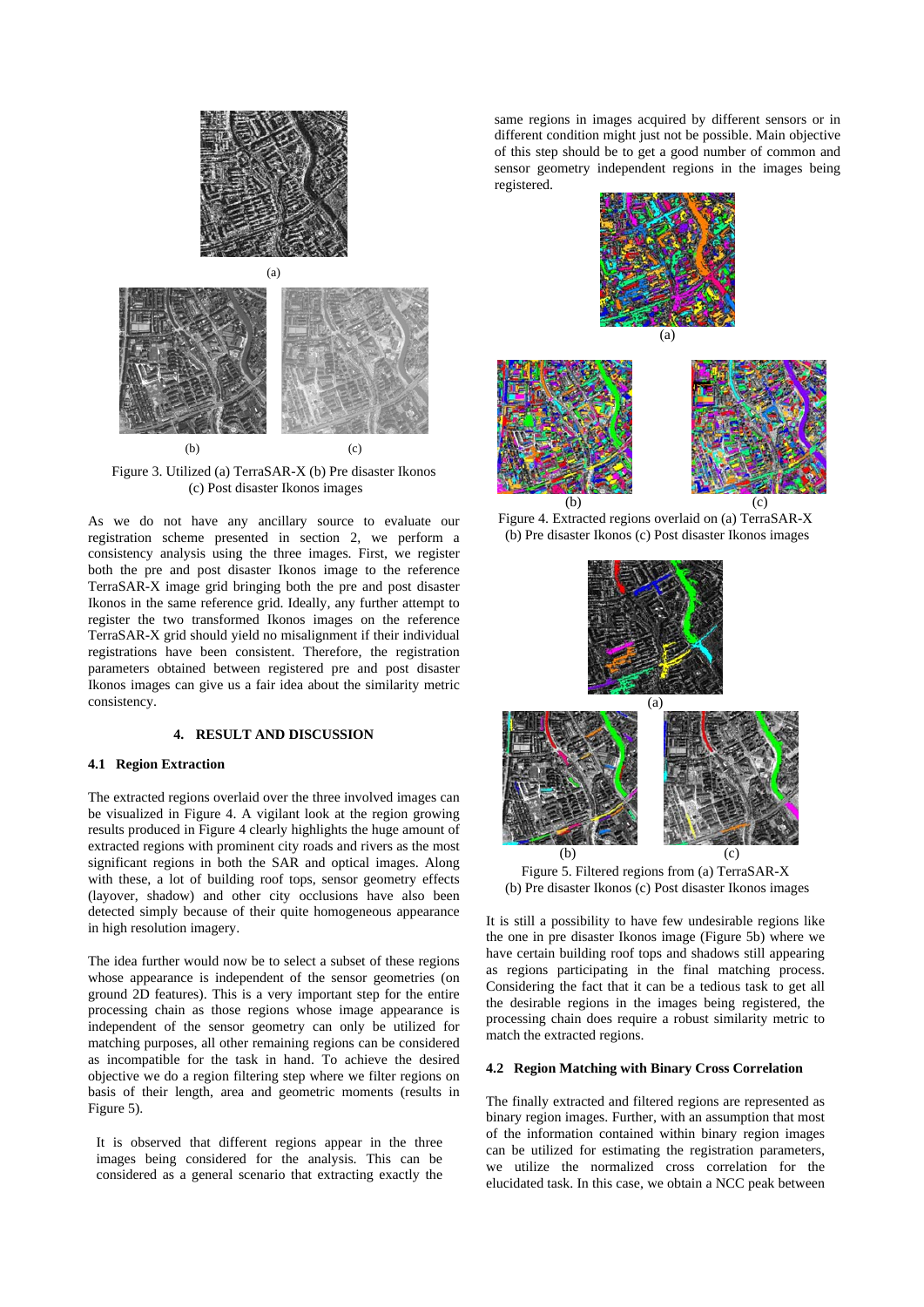

Figure 3. Utilized (a) TerraSAR-X (b) Pre disaster Ikonos (c) Post disaster Ikonos images

As we do not have any ancillary source to evaluate our registration scheme presented in section 2, we perform a consistency analysis using the three images. First, we register both the pre and post disaster Ikonos image to the reference TerraSAR-X image grid bringing both the pre and post disaster Ikonos in the same reference grid. Ideally, any further attempt to register the two transformed Ikonos images on the reference TerraSAR-X grid should yield no misalignment if their individual registrations have been consistent. Therefore, the registration parameters obtained between registered pre and post disaster Ikonos images can give us a fair idea about the similarity metric consistency.

#### **4. RESULT AND DISCUSSION**

#### **4.1 Region Extraction**

The extracted regions overlaid over the three involved images can be visualized in Figure 4. A vigilant look at the region growing results produced in Figure 4 clearly highlights the huge amount of extracted regions with prominent city roads and rivers as the most significant regions in both the SAR and optical images. Along with these, a lot of building roof tops, sensor geometry effects (layover, shadow) and other city occlusions have also been detected simply because of their quite homogeneous appearance in high resolution imagery.

The idea further would now be to select a subset of these regions whose appearance is independent of the sensor geometries (on ground 2D features). This is a very important step for the entire processing chain as those regions whose image appearance is independent of the sensor geometry can only be utilized for matching purposes, all other remaining regions can be considered as incompatible for the task in hand. To achieve the desired objective we do a region filtering step where we filter regions on basis of their length, area and geometric moments (results in Figure 5).

It is observed that different regions appear in the three images being considered for the analysis. This can be considered as a general scenario that extracting exactly the

same regions in images acquired by different sensors or in different condition might just not be possible. Main objective of this step should be to get a good number of common and sensor geometry independent regions in the images being registered.



Figure 4. Extracted regions overlaid on (a) TerraSAR-X (b) Pre disaster Ikonos (c) Post disaster Ikonos images



Figure 5. Filtered regions from (a) TerraSAR-X (b) Pre disaster Ikonos (c) Post disaster Ikonos images

It is still a possibility to have few undesirable regions like the one in pre disaster Ikonos image (Figure 5b) where we have certain building roof tops and shadows still appearing as regions participating in the final matching process. Considering the fact that it can be a tedious task to get all the desirable regions in the images being registered, the processing chain does require a robust similarity metric to match the extracted regions.

## **4.2 Region Matching with Binary Cross Correlation**

The finally extracted and filtered regions are represented as binary region images. Further, with an assumption that most of the information contained within binary region images can be utilized for estimating the registration parameters, we utilize the normalized cross correlation for the elucidated task. In this case, we obtain a NCC peak between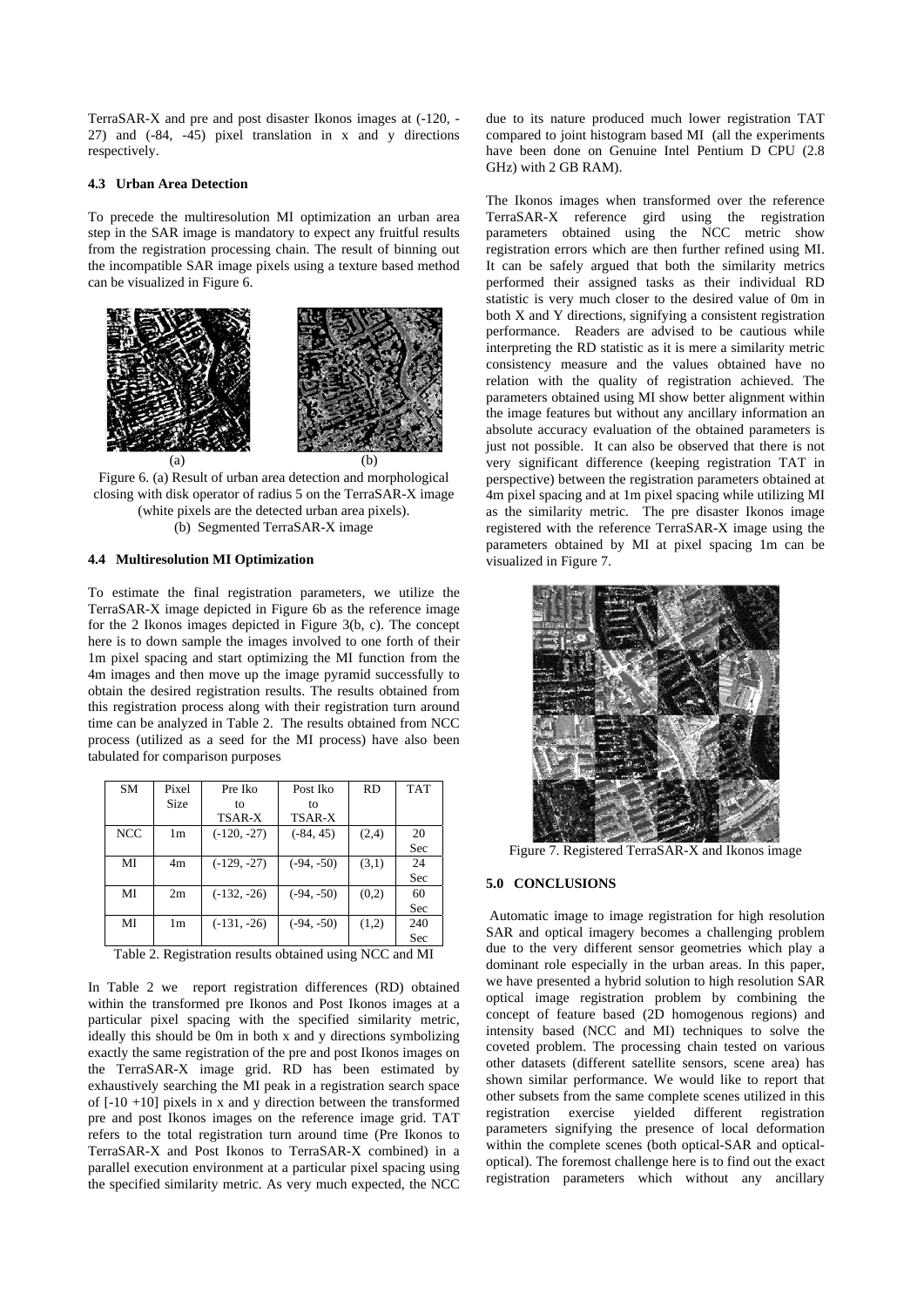TerraSAR-X and pre and post disaster Ikonos images at (-120, - 27) and (-84, -45) pixel translation in x and y directions respectively.

## **4.3 Urban Area Detection**

To precede the multiresolution MI optimization an urban area step in the SAR image is mandatory to expect any fruitful results from the registration processing chain. The result of binning out the incompatible SAR image pixels using a texture based method can be visualized in Figure 6.



Figure 6. (a) Result of urban area detection and morphological closing with disk operator of radius 5 on the TerraSAR-X image (white pixels are the detected urban area pixels).

# (b) Segmented TerraSAR-X image

### **4.4 Multiresolution MI Optimization**

To estimate the final registration parameters, we utilize the TerraSAR-X image depicted in Figure 6b as the reference image for the 2 Ikonos images depicted in Figure 3(b, c). The concept here is to down sample the images involved to one forth of their 1m pixel spacing and start optimizing the MI function from the 4m images and then move up the image pyramid successfully to obtain the desired registration results. The results obtained from this registration process along with their registration turn around time can be analyzed in Table 2. The results obtained from NCC process (utilized as a seed for the MI process) have also been tabulated for comparison purposes

| SM         | Pixel       | Pre Iko       | Post Iko     | <b>RD</b> | <b>TAT</b> |
|------------|-------------|---------------|--------------|-----------|------------|
|            | <b>Size</b> | tο            | to           |           |            |
|            |             | TSAR-X        | TSAR-X       |           |            |
| <b>NCC</b> | 1m          | $(-120, -27)$ | $(-84, 45)$  | (2,4)     | 20         |
|            |             |               |              |           | Sec        |
| MI         | 4m          | $(-129, -27)$ | $(-94, -50)$ | (3,1)     | 24         |
|            |             |               |              |           | Sec        |
| MI         | 2m          | $(-132, -26)$ | $(-94, -50)$ | (0,2)     | 60         |
|            |             |               |              |           | Sec        |
| MI         | 1m          | $(-131, -26)$ | $(-94, -50)$ | (1,2)     | 240        |
|            |             |               |              |           | Sec        |

Table 2. Registration results obtained using NCC and MI

In Table 2 we report registration differences (RD) obtained within the transformed pre Ikonos and Post Ikonos images at a particular pixel spacing with the specified similarity metric, ideally this should be 0m in both x and y directions symbolizing exactly the same registration of the pre and post Ikonos images on the TerraSAR-X image grid. RD has been estimated by exhaustively searching the MI peak in a registration search space of  $[-10 +10]$  pixels in x and y direction between the transformed pre and post Ikonos images on the reference image grid. TAT refers to the total registration turn around time (Pre Ikonos to TerraSAR-X and Post Ikonos to TerraSAR-X combined) in a parallel execution environment at a particular pixel spacing using the specified similarity metric. As very much expected, the NCC

due to its nature produced much lower registration TAT compared to joint histogram based MI (all the experiments have been done on Genuine Intel Pentium D CPU (2.8 GHz) with 2 GB RAM).

The Ikonos images when transformed over the reference TerraSAR-X reference gird using the registration parameters obtained using the NCC metric show registration errors which are then further refined using MI. It can be safely argued that both the similarity metrics performed their assigned tasks as their individual RD statistic is very much closer to the desired value of 0m in both X and Y directions, signifying a consistent registration performance. Readers are advised to be cautious while interpreting the RD statistic as it is mere a similarity metric consistency measure and the values obtained have no relation with the quality of registration achieved. The parameters obtained using MI show better alignment within the image features but without any ancillary information an absolute accuracy evaluation of the obtained parameters is just not possible. It can also be observed that there is not very significant difference (keeping registration TAT in perspective) between the registration parameters obtained at 4m pixel spacing and at 1m pixel spacing while utilizing MI as the similarity metric. The pre disaster Ikonos image registered with the reference TerraSAR-X image using the parameters obtained by MI at pixel spacing 1m can be visualized in Figure 7.



Figure 7. Registered TerraSAR-X and Ikonos image

#### **5.0 CONCLUSIONS**

 Automatic image to image registration for high resolution SAR and optical imagery becomes a challenging problem due to the very different sensor geometries which play a dominant role especially in the urban areas. In this paper, we have presented a hybrid solution to high resolution SAR optical image registration problem by combining the concept of feature based (2D homogenous regions) and intensity based (NCC and MI) techniques to solve the coveted problem. The processing chain tested on various other datasets (different satellite sensors, scene area) has shown similar performance. We would like to report that other subsets from the same complete scenes utilized in this registration exercise yielded different registration parameters signifying the presence of local deformation within the complete scenes (both optical-SAR and opticaloptical). The foremost challenge here is to find out the exact registration parameters which without any ancillary